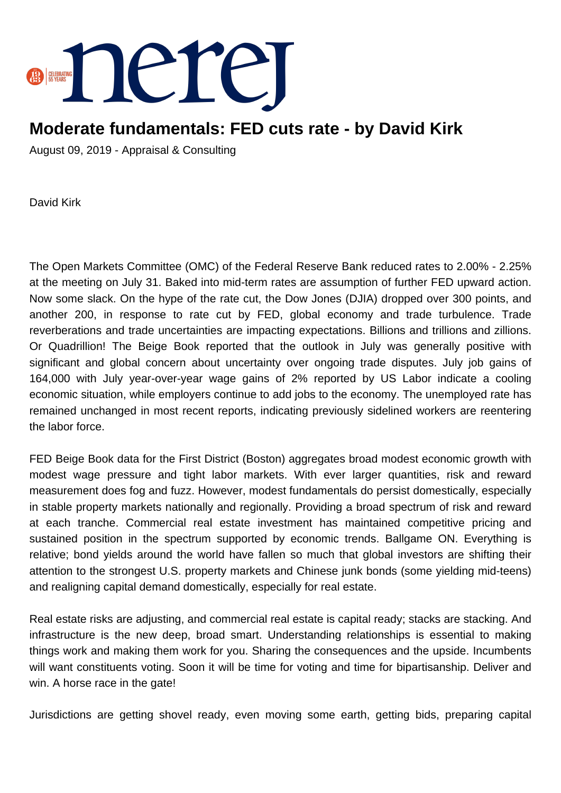

## **Moderate fundamentals: FED cuts rate - by David Kirk**

August 09, 2019 - Appraisal & Consulting

David Kirk

The Open Markets Committee (OMC) of the Federal Reserve Bank reduced rates to 2.00% - 2.25% at the meeting on July 31. Baked into mid-term rates are assumption of further FED upward action. Now some slack. On the hype of the rate cut, the Dow Jones (DJIA) dropped over 300 points, and another 200, in response to rate cut by FED, global economy and trade turbulence. Trade reverberations and trade uncertainties are impacting expectations. Billions and trillions and zillions. Or Quadrillion! The Beige Book reported that the outlook in July was generally positive with significant and global concern about uncertainty over ongoing trade disputes. July job gains of 164,000 with July year-over-year wage gains of 2% reported by US Labor indicate a cooling economic situation, while employers continue to add jobs to the economy. The unemployed rate has remained unchanged in most recent reports, indicating previously sidelined workers are reentering the labor force.

FED Beige Book data for the First District (Boston) aggregates broad modest economic growth with modest wage pressure and tight labor markets. With ever larger quantities, risk and reward measurement does fog and fuzz. However, modest fundamentals do persist domestically, especially in stable property markets nationally and regionally. Providing a broad spectrum of risk and reward at each tranche. Commercial real estate investment has maintained competitive pricing and sustained position in the spectrum supported by economic trends. Ballgame ON. Everything is relative; bond yields around the world have fallen so much that global investors are shifting their attention to the strongest U.S. property markets and Chinese junk bonds (some yielding mid-teens) and realigning capital demand domestically, especially for real estate.

Real estate risks are adjusting, and commercial real estate is capital ready; stacks are stacking. And infrastructure is the new deep, broad smart. Understanding relationships is essential to making things work and making them work for you. Sharing the consequences and the upside. Incumbents will want constituents voting. Soon it will be time for voting and time for bipartisanship. Deliver and win. A horse race in the gate!

Jurisdictions are getting shovel ready, even moving some earth, getting bids, preparing capital